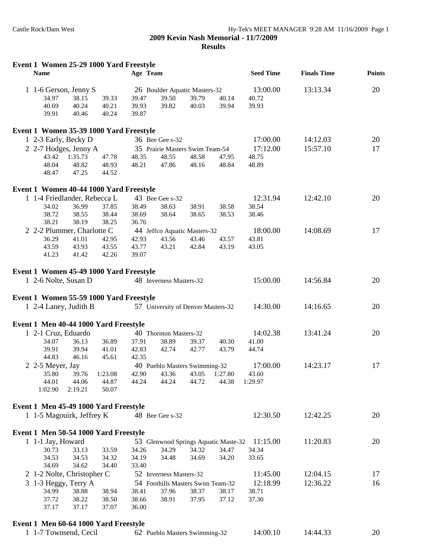| Event 1 Women 25-29 1000 Yard Freestyle<br><b>Name</b> |                     |       | Age Team |                         |                                      |       | <b>Seed Time</b> | <b>Finals Time</b> | <b>Points</b> |
|--------------------------------------------------------|---------------------|-------|----------|-------------------------|--------------------------------------|-------|------------------|--------------------|---------------|
| 1 1-6 Gerson, Jenny S                                  |                     |       |          |                         | 26 Boulder Aquatic Masters-32        |       | 13:00.00         | 13:13.34           | 20            |
| 34.97                                                  | 38.15               | 39.33 | 39.47    | 39.50                   | 39.79                                | 40.14 | 40.72            |                    |               |
| 40.69                                                  | 40.24               | 40.21 | 39.93    | 39.82                   | 40.03                                | 39.94 | 39.93            |                    |               |
| 39.91                                                  | 40.46               | 40.24 | 39.87    |                         |                                      |       |                  |                    |               |
| Event 1 Women 35-39 1000 Yard Freestyle                |                     |       |          |                         |                                      |       |                  |                    |               |
| 1 2-3 Early, Becky D                                   |                     |       |          | 36 Bee Gee s-32         |                                      |       | 17:00.00         | 14:12.03           | 20            |
| 2 2-7 Hodges, Jenny A                                  |                     |       |          |                         | 35 Prairie Masters Swim Team-54      |       | 17:12.00         | 15:57.10           | 17            |
|                                                        | 43.42 1:35.73       | 47.78 | 48.35    | 48.55                   | 48.58                                | 47.95 | 48.75            |                    |               |
| 48.04                                                  | 48.82               | 48.93 | 48.21    | 47.86                   | 48.16                                | 48.84 | 48.89            |                    |               |
| 48.47                                                  | 47.25               | 44.52 |          |                         |                                      |       |                  |                    |               |
| Event 1 Women 40-44 1000 Yard Freestyle                |                     |       |          |                         |                                      |       |                  |                    |               |
| 1 1-4 Friedlander, Rebecca L                           |                     |       |          | 43 Bee Gee s-32         |                                      |       | 12:31.94         | 12:42.10           | 20            |
| 34.02                                                  | 36.99               | 37.85 | 38.49    | 38.63                   | 38.91                                | 38.58 | 38.54            |                    |               |
| 38.72                                                  | 38.55               | 38.44 | 38.69    | 38.64                   | 38.65                                | 38.53 | 38.46            |                    |               |
| 38.21                                                  | 38.19               | 38.25 | 36.76    |                         |                                      |       |                  |                    |               |
| 2 2-2 Plummer, Charlotte C                             |                     |       |          |                         | 44 Jeffco Aquatic Masters-32         |       | 18:00.00         | 14:08.69           | 17            |
| 36.29                                                  | 41.01               | 42.95 | 42.93    | 43.56                   | 43.46                                | 43.57 | 43.81            |                    |               |
| 43.59                                                  | 43.93               | 43.55 | 43.77    | 43.21                   | 42.84                                | 43.19 | 43.05            |                    |               |
| 41.23                                                  | 41.42               | 42.26 | 39.07    |                         |                                      |       |                  |                    |               |
| Event 1 Women 45-49 1000 Yard Freestyle                |                     |       |          |                         |                                      |       |                  |                    |               |
| 1 2-6 Nolte, Susan D                                   |                     |       |          | 48 Inverness Masters-32 |                                      |       | 15:00.00         | 14:56.84           | 20            |
| Event 1 Women 55-59 1000 Yard Freestyle                |                     |       |          |                         |                                      |       |                  |                    |               |
| 1 2-4 Laney, Judith B                                  |                     |       |          |                         | 57 University of Denver Masters-32   |       | 14:30.00         | 14:16.65           | 20            |
| Event 1 Men 40-44 1000 Yard Freestyle                  |                     |       |          |                         |                                      |       |                  |                    |               |
| 1 2-1 Cruz, Eduardo                                    |                     |       |          | 40 Thornton Masters-32  |                                      |       | 14:02.38         | 13:41.24           | 20            |
| 34.07                                                  | 36.13               | 36.89 | 37.91    | 38.89                   | 39.37                                | 40.30 | 41.00            |                    |               |
| 39.91                                                  | 39.94               | 41.01 | 42.83    | 42.74                   | 42.77                                | 43.79 | 44.74            |                    |               |
| 44.83                                                  | 46.16               | 45.61 | 42.35    |                         |                                      |       |                  |                    |               |
| 2 2-5 Meyer, Jay                                       |                     |       |          |                         | 40 Pueblo Masters Swimming-32        |       | 17:00.00         | 14:23.17           | 17            |
|                                                        | 35.80 39.76 1:23.08 |       |          |                         | 42.90  43.36  43.05  1:27.80         |       | 43.60            |                    |               |
| 44.01                                                  | 44.06               | 44.87 | 44.24    | 44.24                   | 44.72                                | 44.38 | 1:29.97          |                    |               |
| 1:02.90                                                | 2:19.21             | 50.07 |          |                         |                                      |       |                  |                    |               |
| Event 1 Men 45-49 1000 Yard Freestyle                  |                     |       |          |                         |                                      |       |                  |                    |               |
| 1 1-5 Magouirk, Jeffrey K                              |                     |       |          | 48 Bee Gee s-32         |                                      |       | 12:30.50         | 12:42.25           | 20            |
| Event 1 Men 50-54 1000 Yard Freestyle                  |                     |       |          |                         |                                      |       |                  |                    |               |
| 1 1-1 Jay, Howard                                      |                     |       |          |                         | 53 Glenwood Springs Aquatic Maste-32 |       | 11:15.00         | 11:20.83           | 20            |
| 30.73                                                  | 33.13               | 33.59 | 34.26    | 34.29                   | 34.32                                | 34.47 | 34.34            |                    |               |
| 34.53                                                  | 34.53               | 34.32 | 34.19    | 34.48                   | 34.69                                | 34.20 | 33.65            |                    |               |
| 34.69                                                  | 34.62               | 34.40 | 33.40    |                         |                                      |       |                  |                    |               |
| 2 1-2 Nolte, Christopher C                             |                     |       |          | 52 Inverness Masters-32 |                                      |       | 11:45.00         | 12:04.15           | 17            |
| 3 1-3 Heggy, Terry A                                   |                     |       |          |                         | 54 Foothills Masters Swim Team-32    |       | 12:18.99         | 12:36.22           | 16            |
| 34.99                                                  | 38.88               | 38.94 | 38.41    | 37.96                   | 38.37                                | 38.17 | 38.71            |                    |               |
| 37.72                                                  | 38.22               | 38.50 | 38.66    | 38.91                   | 37.95                                | 37.12 | 37.30            |                    |               |
| 37.17                                                  | 37.17               | 37.07 | 36.00    |                         |                                      |       |                  |                    |               |
|                                                        |                     |       |          |                         |                                      |       |                  |                    |               |

## **Event 1 Men 60-64 1000 Yard Freestyle**

| <sup>1</sup> 1-7 Townsend, Cecil | 62 Pueblo Masters Swimming-32 | 14:00.10 | 14:44.33 | 20 |
|----------------------------------|-------------------------------|----------|----------|----|
|----------------------------------|-------------------------------|----------|----------|----|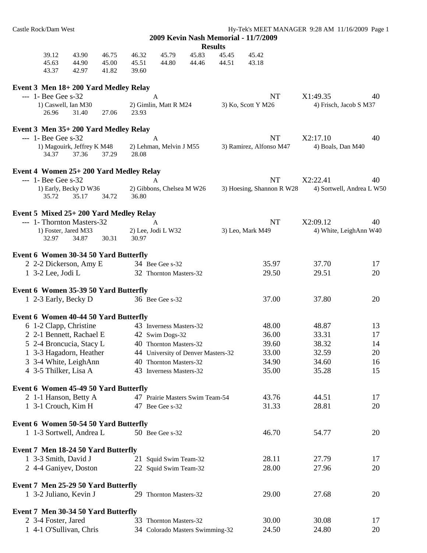| Castle Rock/Dam West    |                                        |                |                |                                    |                |                | Hy-Tek's MEET MANAGER 9:28 AM 11/16/2009 Page 1 |                        |                           |
|-------------------------|----------------------------------------|----------------|----------------|------------------------------------|----------------|----------------|-------------------------------------------------|------------------------|---------------------------|
|                         |                                        |                |                |                                    |                |                | 2009 Kevin Nash Memorial - 11/7/2009            |                        |                           |
|                         |                                        |                |                |                                    |                | <b>Results</b> |                                                 |                        |                           |
| 39.12<br>45.63          | 43.90<br>44.90                         | 46.75<br>45.00 | 46.32<br>45.51 | 45.79<br>44.80                     | 45.83<br>44.46 | 45.45<br>44.51 | 45.42<br>43.18                                  |                        |                           |
| 43.37                   | 42.97                                  | 41.82          | 39.60          |                                    |                |                |                                                 |                        |                           |
|                         | Event 3 Men 18+200 Yard Medley Relay   |                |                |                                    |                |                |                                                 |                        |                           |
| $- - 1$ - Bee Gee s-32  |                                        |                |                | A                                  |                |                | NT                                              | X1:49.35               | 40                        |
|                         | 1) Caswell, Ian M30                    |                |                | 2) Gimlin, Matt R M24              |                |                | 3) Ko, Scott Y M26                              | 4) Frisch, Jacob S M37 |                           |
| 26.96                   | 31.40                                  | 27.06          | 23.93          |                                    |                |                |                                                 |                        |                           |
|                         | Event 3 Men 35+200 Yard Medley Relay   |                |                |                                    |                |                |                                                 |                        |                           |
| $-1 -$ 1 - Bee Gee s-32 |                                        |                |                | A                                  |                |                | <b>NT</b>                                       | X2:17.10               | 40                        |
| 34.37                   | 1) Magouirk, Jeffrey K M48<br>37.36    | 37.29          | 28.08          | 2) Lehman, Melvin J M55            |                |                | 3) Ramirez, Alfonso M47                         | 4) Boals, Dan M40      |                           |
|                         | Event 4 Women 25+200 Yard Medley Relay |                |                |                                    |                |                |                                                 |                        |                           |
| $-1 -$ 1 - Bee Gee s-32 |                                        |                |                | A                                  |                |                | <b>NT</b>                                       | X2:22.41               | 40                        |
|                         | 1) Early, Becky D W36                  |                |                | 2) Gibbons, Chelsea M W26          |                |                | 3) Hoesing, Shannon R W28                       |                        | 4) Sortwell, Andrea L W50 |
| 35.72                   | 35.17                                  | 34.72          | 36.80          |                                    |                |                |                                                 |                        |                           |
|                         | Event 5 Mixed 25+200 Yard Medley Relay |                |                |                                    |                |                |                                                 |                        |                           |
|                         | --- 1- Thornton Masters-32             |                |                | A                                  |                |                | NT                                              | X2:09.12               | 40                        |
|                         | 1) Foster, Jared M33                   |                |                | 2) Lee, Jodi L W32                 |                |                | 3) Leo, Mark M49                                |                        | 4) White, LeighAnn W40    |
| 32.97                   | 34.87                                  | 30.31          | 30.97          |                                    |                |                |                                                 |                        |                           |
|                         | Event 6 Women 30-34 50 Yard Butterfly  |                |                |                                    |                |                |                                                 |                        |                           |
|                         | 2 2-2 Dickerson, Amy E                 |                |                | 34 Bee Gee s-32                    |                |                | 35.97                                           | 37.70                  | 17                        |
| 1 $3-2$ Lee, Jodi L     |                                        |                |                | 32 Thornton Masters-32             |                |                | 29.50                                           | 29.51                  | 20                        |
|                         | Event 6 Women 35-39 50 Yard Butterfly  |                |                |                                    |                |                |                                                 |                        |                           |
|                         | 1 2-3 Early, Becky D                   |                |                | 36 Bee Gee s-32                    |                |                | 37.00                                           | 37.80                  | 20                        |
|                         | Event 6 Women 40-44 50 Yard Butterfly  |                |                |                                    |                |                |                                                 |                        |                           |
|                         | 6 1-2 Clapp, Christine                 |                |                | 43 Inverness Masters-32            |                |                | 48.00                                           | 48.87                  | 13                        |
|                         | 2 2-1 Bennett, Rachael E               |                |                | 42 Swim Dogs-32                    |                |                | 36.00                                           | 33.31                  | 17                        |
|                         | 5 2-4 Broncucia, Stacy L               |                |                | 40 Thornton Masters-32             |                |                | 39.60                                           | 38.32                  | 14                        |
|                         | 1 3-3 Hagadorn, Heather                |                |                | 44 University of Denver Masters-32 |                |                | 33.00                                           | 32.59                  | 20                        |
|                         | 3 3-4 White, LeighAnn                  |                |                | 40 Thornton Masters-32             |                |                | 34.90                                           | 34.60                  | 16                        |
|                         | 4 3-5 Thilker, Lisa A                  |                |                | 43 Inverness Masters-32            |                |                | 35.00                                           | 35.28                  | 15                        |
|                         | Event 6 Women 45-49 50 Yard Butterfly  |                |                |                                    |                |                |                                                 |                        |                           |
|                         | 2 1-1 Hanson, Betty A                  |                |                | 47 Prairie Masters Swim Team-54    |                |                | 43.76                                           | 44.51                  | 17                        |
|                         | 1 3-1 Crouch, Kim H                    |                |                | 47 Bee Gee s-32                    |                |                | 31.33                                           | 28.81                  | 20                        |
|                         | Event 6 Women 50-54 50 Yard Butterfly  |                |                |                                    |                |                |                                                 |                        |                           |
|                         | 1 1-3 Sortwell, Andrea L               |                |                | 50 Bee Gee s-32                    |                |                | 46.70                                           | 54.77                  | 20                        |
|                         |                                        |                |                |                                    |                |                |                                                 |                        |                           |
|                         | Event 7 Men 18-24 50 Yard Butterfly    |                |                |                                    |                |                |                                                 |                        |                           |
| 1 3-3 Smith, David J    |                                        |                |                | 21 Squid Swim Team-32              |                |                | 28.11                                           | 27.79                  | 17                        |
|                         | 2 4-4 Ganiyev, Doston                  |                |                | 22 Squid Swim Team-32              |                |                | 28.00                                           | 27.96                  | 20                        |
|                         | Event 7 Men 25-29 50 Yard Butterfly    |                |                |                                    |                |                |                                                 |                        |                           |
|                         | 1 3-2 Juliano, Kevin J                 |                |                | 29 Thornton Masters-32             |                |                | 29.00                                           | 27.68                  | 20                        |
|                         | Event 7 Men 30-34 50 Yard Butterfly    |                |                |                                    |                |                |                                                 |                        |                           |
| 2 3-4 Foster, Jared     |                                        |                |                | 33 Thornton Masters-32             |                |                | 30.00                                           | 30.08                  | 17                        |
|                         | 1 4-1 O'Sullivan, Chris                |                |                | 34 Colorado Masters Swimming-32    |                |                | 24.50                                           | 24.80                  | 20                        |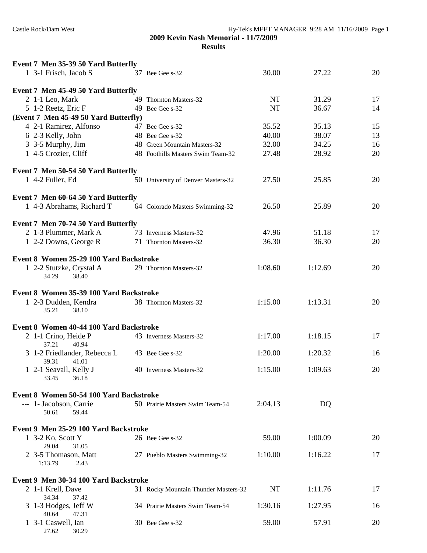| Event 7 Men 35-39 50 Yard Butterfly            |                                           |           |                |    |
|------------------------------------------------|-------------------------------------------|-----------|----------------|----|
| 1 3-1 Frisch, Jacob S                          | 37 Bee Gee s-32                           | 30.00     | 27.22          | 20 |
|                                                |                                           |           |                |    |
| Event 7 Men 45-49 50 Yard Butterfly            |                                           | <b>NT</b> |                | 17 |
| 2 1-1 Leo, Mark                                | 49 Thornton Masters-32<br>49 Bee Gee s-32 | <b>NT</b> | 31.29<br>36.67 | 14 |
| 5 1-2 Reetz, Eric F                            |                                           |           |                |    |
| (Event 7 Men 45-49 50 Yard Butterfly)          |                                           |           |                |    |
| 4 2-1 Ramirez, Alfonso                         | 47 Bee Gee s-32                           | 35.52     | 35.13          | 15 |
| 6 2-3 Kelly, John                              | 48 Bee Gee s-32                           | 40.00     | 38.07          | 13 |
| 3 3-5 Murphy, Jim                              | 48 Green Mountain Masters-32              | 32.00     | 34.25          | 16 |
| 1 4-5 Crozier, Cliff                           | 48 Foothills Masters Swim Team-32         | 27.48     | 28.92          | 20 |
| Event 7 Men 50-54 50 Yard Butterfly            |                                           |           |                |    |
| 1 4-2 Fuller, Ed                               | 50 University of Denver Masters-32        | 27.50     | 25.85          | 20 |
| Event 7 Men 60-64 50 Yard Butterfly            |                                           |           |                |    |
| 1 4-3 Abrahams, Richard T                      | 64 Colorado Masters Swimming-32           | 26.50     | 25.89          | 20 |
|                                                |                                           |           |                |    |
| Event 7 Men 70-74 50 Yard Butterfly            |                                           |           |                |    |
| 2 1-3 Plummer, Mark A                          | 73 Inverness Masters-32                   | 47.96     | 51.18          | 17 |
| 1 2-2 Downs, George R                          | 71 Thornton Masters-32                    | 36.30     | 36.30          | 20 |
|                                                |                                           |           |                |    |
| Event 8 Women 25-29 100 Yard Backstroke        |                                           |           |                |    |
| 1 2-2 Stutzke, Crystal A                       | 29 Thornton Masters-32                    | 1:08.60   | 1:12.69        | 20 |
| 34.29<br>38.40                                 |                                           |           |                |    |
| Event 8 Women 35-39 100 Yard Backstroke        |                                           |           |                |    |
| 1 2-3 Dudden, Kendra                           | 38 Thornton Masters-32                    | 1:15.00   | 1:13.31        | 20 |
| 35.21<br>38.10                                 |                                           |           |                |    |
|                                                |                                           |           |                |    |
| Event 8 Women 40-44 100 Yard Backstroke        |                                           |           |                |    |
| 2 1-1 Crino, Heide P                           | 43 Inverness Masters-32                   | 1:17.00   | 1:18.15        | 17 |
| 37.21<br>40.94<br>3 1-2 Friedlander, Rebecca L | 43 Bee Gee s-32                           | 1:20.00   | 1:20.32        | 16 |
| 39.31<br>41.01                                 |                                           |           |                |    |
| 1 2-1 Seavall, Kelly J                         | 40 Inverness Masters-32                   | 1:15.00   | 1:09.63        | 20 |
| 33.45<br>36.18                                 |                                           |           |                |    |
|                                                |                                           |           |                |    |
| Event 8 Women 50-54 100 Yard Backstroke        |                                           |           |                |    |
| --- 1- Jacobson, Carrie<br>50.61<br>59.44      | 50 Prairie Masters Swim Team-54           | 2:04.13   | DQ             |    |
|                                                |                                           |           |                |    |
| Event 9 Men 25-29 100 Yard Backstroke          |                                           |           |                |    |
| 1 3-2 Ko, Scott Y                              | 26 Bee Gee s-32                           | 59.00     | 1:00.09        | 20 |
| 29.04<br>31.05                                 |                                           |           |                |    |
| 2 3-5 Thomason, Matt                           | 27 Pueblo Masters Swimming-32             | 1:10.00   | 1:16.22        | 17 |
| 1:13.79<br>2.43                                |                                           |           |                |    |
| Event 9 Men 30-34 100 Yard Backstroke          |                                           |           |                |    |
| 2 1-1 Krell, Dave                              | 31 Rocky Mountain Thunder Masters-32      | NT        | 1:11.76        | 17 |
| 34.34<br>37.42                                 |                                           |           |                |    |
| 3 1-3 Hodges, Jeff W                           | 34 Prairie Masters Swim Team-54           | 1:30.16   | 1:27.95        | 16 |
| 40.64<br>47.31                                 |                                           |           |                |    |
| 1 3-1 Caswell, Ian                             | 30 Bee Gee s-32                           | 59.00     | 57.91          | 20 |
| 27.62<br>30.29                                 |                                           |           |                |    |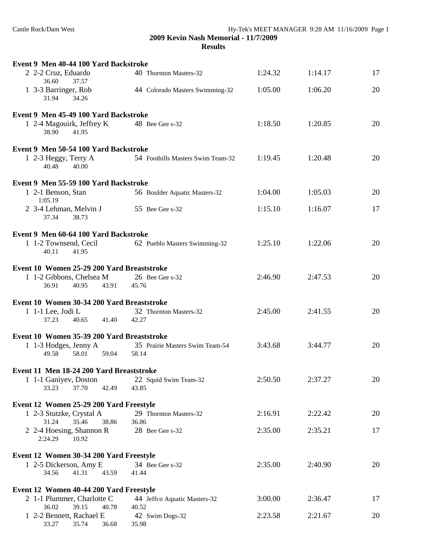| Event 9 Men 40-44 100 Yard Backstroke               |                                   |         |         |    |
|-----------------------------------------------------|-----------------------------------|---------|---------|----|
| 2 2-2 Cruz, Eduardo<br>36.60<br>37.57               | 40 Thornton Masters-32            | 1:24.32 | 1:14.17 | 17 |
| 1 3-3 Barringer, Rob<br>31.94<br>34.26              | 44 Colorado Masters Swimming-32   | 1:05.00 | 1:06.20 | 20 |
| Event 9 Men 45-49 100 Yard Backstroke               |                                   |         |         |    |
| 1 2-4 Magouirk, Jeffrey K<br>38.90<br>41.95         | 48 Bee Gee s-32                   | 1:18.50 | 1:20.85 | 20 |
| Event 9 Men 50-54 100 Yard Backstroke               |                                   |         |         |    |
| 1 2-3 Heggy, Terry A<br>40.48<br>40.00              | 54 Foothills Masters Swim Team-32 | 1:19.45 | 1:20.48 | 20 |
| Event 9 Men 55-59 100 Yard Backstroke               |                                   |         |         |    |
| 1 2-1 Benson, Stan<br>1:05.19                       | 56 Boulder Aquatic Masters-32     | 1:04.00 | 1:05.03 | 20 |
| 2 3-4 Lehman, Melvin J<br>37.34<br>38.73            | 55 Bee Gee s-32                   | 1:15.10 | 1:16.07 | 17 |
| Event 9 Men 60-64 100 Yard Backstroke               |                                   |         |         |    |
| 1 1-2 Townsend, Cecil<br>40.11<br>41.95             | 62 Pueblo Masters Swimming-32     | 1:25.10 | 1:22.06 | 20 |
| Event 10 Women 25-29 200 Yard Breaststroke          |                                   |         |         |    |
| 1 1-2 Gibbons, Chelsea M<br>36.91<br>40.95<br>43.91 | 26 Bee Gee s-32<br>45.76          | 2:46.90 | 2:47.53 | 20 |
|                                                     |                                   |         |         |    |
| Event 10 Women 30-34 200 Yard Breaststroke          |                                   |         |         |    |
| 1 1-1 Lee, Jodi L<br>37.23<br>41.40<br>40.65        | 32 Thornton Masters-32<br>42.27   | 2:45.00 | 2:41.55 | 20 |
| Event 10 Women 35-39 200 Yard Breaststroke          |                                   |         |         |    |
| 1 1-3 Hodges, Jenny A                               | 35 Prairie Masters Swim Team-54   | 3:43.68 | 3:44.77 | 20 |
| 58.01<br>49.58<br>59.04                             | 58.14                             |         |         |    |
| Event 11 Men 18-24 200 Yard Breaststroke            |                                   |         |         |    |
| 1 1-1 Ganiyev, Doston                               | 22 Squid Swim Team-32             | 2:50.50 | 2:37.27 | 20 |
| 37.70<br>33.23<br>42.49                             | 43.85                             |         |         |    |
| Event 12 Women 25-29 200 Yard Freestyle             |                                   |         |         |    |
| 1 2-3 Stutzke, Crystal A                            | 29 Thornton Masters-32            | 2:16.91 | 2:22.42 | 20 |
| 31.24<br>35.46<br>38.86                             | 36.86                             |         |         |    |
| 2 2-4 Hoesing, Shannon R<br>2:24.29<br>10.92        | 28 Bee Gee s-32                   | 2:35.00 | 2:35.21 | 17 |
| Event 12 Women 30-34 200 Yard Freestyle             |                                   |         |         |    |
| 1 2-5 Dickerson, Amy E                              | 34 Bee Gee s-32                   | 2:35.00 | 2:40.90 | 20 |
| 34.56<br>41.31<br>43.59                             | 41.44                             |         |         |    |
| Event 12 Women 40-44 200 Yard Freestyle             |                                   |         |         |    |
| 2 1-1 Plummer, Charlotte C                          | 44 Jeffco Aquatic Masters-32      | 3:00.00 | 2:36.47 | 17 |
| 39.15<br>36.02<br>40.78                             | 40.52                             |         |         |    |
| 1 2-2 Bennett, Rachael E<br>33.27<br>35.74<br>36.68 | 42 Swim Dogs-32<br>35.98          | 2:23.58 | 2:21.67 | 20 |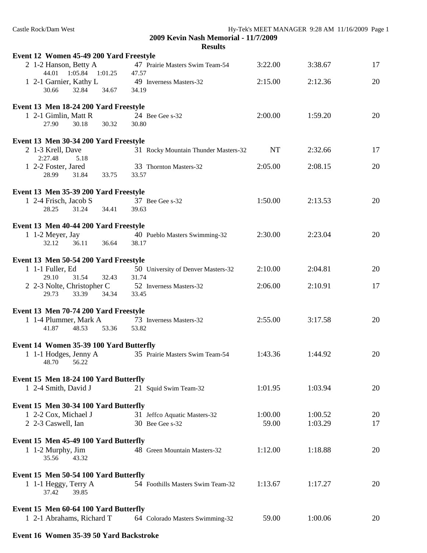| Event 12 Women 45-49 200 Yard Freestyle                                                  |                                                 |                  |                    |          |
|------------------------------------------------------------------------------------------|-------------------------------------------------|------------------|--------------------|----------|
| 2 1-2 Hanson, Betty A<br>44.01  1:05.84  1:01.25                                         | 47 Prairie Masters Swim Team-54<br>47.57        | 3:22.00          | 3:38.67            | 17       |
| 1 2-1 Garnier, Kathy L<br>32.84<br>34.67<br>30.66                                        | 49 Inverness Masters-32<br>34.19                | 2:15.00          | 2:12.36            | 20       |
| Event 13 Men 18-24 200 Yard Freestyle<br>1 2-1 Gimlin, Matt R<br>30.32<br>27.90<br>30.18 | 24 Bee Gee s-32<br>30.80                        | 2:00.00          | 1:59.20            | 20       |
| Event 13 Men 30-34 200 Yard Freestyle                                                    |                                                 |                  |                    |          |
| 2 1-3 Krell, Dave                                                                        | 31 Rocky Mountain Thunder Masters-32            | <b>NT</b>        | 2:32.66            | 17       |
| 2:27.48<br>5.18<br>1 2-2 Foster, Jared<br>28.99<br>31.84<br>33.75                        | 33 Thornton Masters-32<br>33.57                 | 2:05.00          | 2:08.15            | 20       |
| Event 13 Men 35-39 200 Yard Freestyle                                                    |                                                 |                  |                    |          |
| 1 2-4 Frisch, Jacob S<br>28.25<br>31.24<br>34.41                                         | 37 Bee Gee s-32<br>39.63                        | 1:50.00          | 2:13.53            | 20       |
| Event 13 Men 40-44 200 Yard Freestyle                                                    |                                                 |                  |                    |          |
| 1 1-2 Meyer, Jay<br>36.11<br>32.12<br>36.64                                              | 40 Pueblo Masters Swimming-32<br>38.17          | 2:30.00          | 2:23.04            | 20       |
| Event 13 Men 50-54 200 Yard Freestyle                                                    |                                                 |                  |                    |          |
| 1 1-1 Fuller, Ed<br>29.10<br>31.54<br>32.43                                              | 50 University of Denver Masters-32<br>31.74     | 2:10.00          | 2:04.81            | 20       |
| 2 2-3 Nolte, Christopher C<br>29.73<br>33.39<br>34.34                                    | 52 Inverness Masters-32<br>33.45                | 2:06.00          | 2:10.91            | 17       |
| Event 13 Men 70-74 200 Yard Freestyle                                                    |                                                 |                  |                    |          |
| 1 1-4 Plummer, Mark A<br>53.36<br>41.87<br>48.53                                         | 73 Inverness Masters-32<br>53.82                | 2:55.00          | 3:17.58            | 20       |
| Event 14 Women 35-39 100 Yard Butterfly                                                  |                                                 |                  |                    |          |
| 1 1-1 Hodges, Jenny A<br>48.70 56.22                                                     | 35 Prairie Masters Swim Team-54                 | 1:43.36          | 1:44.92            | 20       |
| Event 15 Men 18-24 100 Yard Butterfly                                                    |                                                 |                  |                    |          |
| 1 2-4 Smith, David J                                                                     | 21 Squid Swim Team-32                           | 1:01.95          | 1:03.94            | 20       |
| Event 15 Men 30-34 100 Yard Butterfly                                                    |                                                 |                  |                    |          |
| 1 2-2 Cox, Michael J<br>2 2-3 Caswell, Ian                                               | 31 Jeffco Aquatic Masters-32<br>30 Bee Gee s-32 | 1:00.00<br>59.00 | 1:00.52<br>1:03.29 | 20<br>17 |
| Event 15 Men 45-49 100 Yard Butterfly                                                    |                                                 |                  |                    |          |
| 1 1-2 Murphy, Jim<br>35.56<br>43.32                                                      | 48 Green Mountain Masters-32                    | 1:12.00          | 1:18.88            | 20       |
| Event 15 Men 50-54 100 Yard Butterfly<br>1 1-1 Heggy, Terry A                            | 54 Foothills Masters Swim Team-32               | 1:13.67          | 1:17.27            | 20       |
| 39.85<br>37.42                                                                           |                                                 |                  |                    |          |
| Event 15 Men 60-64 100 Yard Butterfly                                                    |                                                 |                  |                    |          |
| 1 2-1 Abrahams, Richard T                                                                | 64 Colorado Masters Swimming-32                 | 59.00            | 1:00.06            | 20       |

## **Event 16 Women 35-39 50 Yard Backstroke**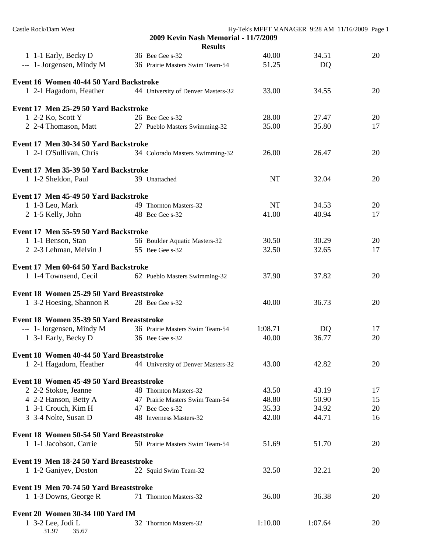| Castle Rock/Dam West                                  |                                      |           | Hy-Tek's MEET MANAGER 9:28 AM 11/16/2009 Page 1 |    |
|-------------------------------------------------------|--------------------------------------|-----------|-------------------------------------------------|----|
|                                                       | 2009 Kevin Nash Memorial - 11/7/2009 |           |                                                 |    |
|                                                       | <b>Results</b>                       |           |                                                 |    |
| 1 1-1 Early, Becky D                                  | 36 Bee Gee s-32                      | 40.00     | 34.51                                           | 20 |
| --- 1- Jorgensen, Mindy M                             | 36 Prairie Masters Swim Team-54      | 51.25     | DQ                                              |    |
| Event 16 Women 40-44 50 Yard Backstroke               |                                      |           |                                                 |    |
| 1 2-1 Hagadorn, Heather                               | 44 University of Denver Masters-32   | 33.00     | 34.55                                           | 20 |
|                                                       |                                      |           |                                                 |    |
| Event 17 Men 25-29 50 Yard Backstroke                 |                                      |           |                                                 |    |
| 1 2-2 Ko, Scott Y                                     | 26 Bee Gee s-32                      | 28.00     | 27.47                                           | 20 |
| 2 2-4 Thomason, Matt                                  | 27 Pueblo Masters Swimming-32        | 35.00     | 35.80                                           | 17 |
| Event 17 Men 30-34 50 Yard Backstroke                 |                                      |           |                                                 |    |
| 1 2-1 O'Sullivan, Chris                               | 34 Colorado Masters Swimming-32      | 26.00     | 26.47                                           | 20 |
|                                                       |                                      |           |                                                 |    |
| Event 17 Men 35-39 50 Yard Backstroke                 |                                      |           |                                                 |    |
| 1 1-2 Sheldon, Paul                                   | 39 Unattached                        | <b>NT</b> | 32.04                                           | 20 |
| Event 17 Men 45-49 50 Yard Backstroke                 |                                      |           |                                                 |    |
| 1 1-3 Leo, Mark                                       | 49 Thornton Masters-32               | <b>NT</b> | 34.53                                           | 20 |
| 2 1-5 Kelly, John                                     | 48 Bee Gee s-32                      | 41.00     | 40.94                                           | 17 |
| Event 17 Men 55-59 50 Yard Backstroke                 |                                      |           |                                                 |    |
| 1 1-1 Benson, Stan                                    | 56 Boulder Aquatic Masters-32        | 30.50     | 30.29                                           | 20 |
| 2 2-3 Lehman, Melvin J                                | 55 Bee Gee s-32                      | 32.50     | 32.65                                           | 17 |
| Event 17 Men 60-64 50 Yard Backstroke                 |                                      |           |                                                 |    |
| 1 1-4 Townsend, Cecil                                 | 62 Pueblo Masters Swimming-32        | 37.90     | 37.82                                           | 20 |
|                                                       |                                      |           |                                                 |    |
| Event 18 Women 25-29 50 Yard Breaststroke             |                                      |           |                                                 |    |
| 1 3-2 Hoesing, Shannon R                              | 28 Bee Gee s-32                      | 40.00     | 36.73                                           | 20 |
|                                                       |                                      |           |                                                 |    |
| Event 18 Women 35-39 50 Yard Breaststroke             |                                      |           |                                                 |    |
| --- 1- Jorgensen, Mindy M                             | 36 Prairie Masters Swim Team-54      | 1:08.71   | DQ                                              | 17 |
| 1 3-1 Early, Becky D                                  | 36 Bee Gee s-32                      | 40.00     | 36.77                                           | 20 |
| Event 18 Women 40-44 50 Yard Breaststroke             |                                      |           |                                                 |    |
| 1 2-1 Hagadorn, Heather                               | 44 University of Denver Masters-32   | 43.00     | 42.82                                           | 20 |
| Event 18 Women 45-49 50 Yard Breaststroke             |                                      |           |                                                 |    |
| 2 2-2 Stokoe, Jeanne                                  | 48 Thornton Masters-32               | 43.50     | 43.19                                           | 17 |
| 4 2-2 Hanson, Betty A                                 | 47 Prairie Masters Swim Team-54      | 48.80     | 50.90                                           | 15 |
| 1 3-1 Crouch, Kim H                                   | 47 Bee Gee s-32                      | 35.33     | 34.92                                           | 20 |
| 3 3-4 Nolte, Susan D                                  | 48 Inverness Masters-32              | 42.00     | 44.71                                           | 16 |
|                                                       |                                      |           |                                                 |    |
| Event 18 Women 50-54 50 Yard Breaststroke             |                                      |           |                                                 |    |
| 1 1-1 Jacobson, Carrie                                | 50 Prairie Masters Swim Team-54      | 51.69     | 51.70                                           | 20 |
| Event 19 Men 18-24 50 Yard Breaststroke               |                                      |           |                                                 |    |
| 1 1-2 Ganiyev, Doston                                 | 22 Squid Swim Team-32                | 32.50     | 32.21                                           | 20 |
| Event 19 Men 70-74 50 Yard Breaststroke               |                                      |           |                                                 |    |
| 1 1-3 Downs, George R                                 | 71 Thornton Masters-32               | 36.00     | 36.38                                           | 20 |
|                                                       |                                      |           |                                                 |    |
| Event 20 Women 30-34 100 Yard IM<br>1 3-2 Lee, Jodi L | 32 Thornton Masters-32               | 1:10.00   | 1:07.64                                         | 20 |
| 31.97<br>35.67                                        |                                      |           |                                                 |    |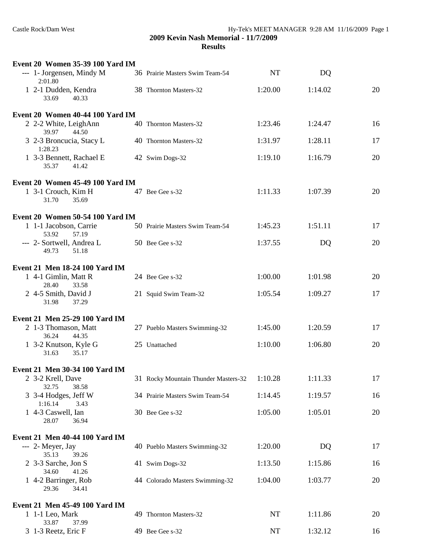| Event 20 Women 35-39 100 Yard IM            |                                      |           |         |    |
|---------------------------------------------|--------------------------------------|-----------|---------|----|
| --- 1- Jorgensen, Mindy M<br>2:01.80        | 36 Prairie Masters Swim Team-54      | <b>NT</b> | DQ      |    |
| 1 2-1 Dudden, Kendra<br>33.69<br>40.33      | 38 Thornton Masters-32               | 1:20.00   | 1:14.02 | 20 |
| Event 20 Women 40-44 100 Yard IM            |                                      |           |         |    |
| 2 2-2 White, LeighAnn<br>39.97<br>44.50     | 40 Thornton Masters-32               | 1:23.46   | 1:24.47 | 16 |
| 3 2-3 Broncucia, Stacy L<br>1:28.23         | 40 Thornton Masters-32               | 1:31.97   | 1:28.11 | 17 |
| 1 3-3 Bennett, Rachael E<br>35.37<br>41.42  | 42 Swim Dogs-32                      | 1:19.10   | 1:16.79 | 20 |
| Event 20 Women 45-49 100 Yard IM            |                                      |           |         |    |
| 1 3-1 Crouch, Kim H<br>31.70<br>35.69       | 47 Bee Gee s-32                      | 1:11.33   | 1:07.39 | 20 |
| <b>Event 20 Women 50-54 100 Yard IM</b>     |                                      |           |         |    |
| 1 1-1 Jacobson, Carrie<br>53.92<br>57.19    | 50 Prairie Masters Swim Team-54      | 1:45.23   | 1:51.11 | 17 |
| --- 2- Sortwell, Andrea L<br>51.18<br>49.73 | 50 Bee Gee s-32                      | 1:37.55   | DQ      | 20 |
| Event 21 Men 18-24 100 Yard IM              |                                      |           |         |    |
| 1 4-1 Gimlin, Matt R<br>28.40<br>33.58      | 24 Bee Gee s-32                      | 1:00.00   | 1:01.98 | 20 |
| 2 4-5 Smith, David J<br>31.98<br>37.29      | 21 Squid Swim Team-32                | 1:05.54   | 1:09.27 | 17 |
| Event 21 Men 25-29 100 Yard IM              |                                      |           |         |    |
| 2 1-3 Thomason, Matt<br>36.24<br>44.35      | 27 Pueblo Masters Swimming-32        | 1:45.00   | 1:20.59 | 17 |
| 1 3-2 Knutson, Kyle G<br>35.17<br>31.63     | 25 Unattached                        | 1:10.00   | 1:06.80 | 20 |
| Event 21 Men 30-34 100 Yard IM              |                                      |           |         |    |
| 2 3-2 Krell, Dave<br>32.75<br>38.58         | 31 Rocky Mountain Thunder Masters-32 | 1:10.28   | 1:11.33 | 17 |
| 3 3-4 Hodges, Jeff W<br>1:16.14<br>3.43     | 34 Prairie Masters Swim Team-54      | 1:14.45   | 1:19.57 | 16 |
| 1 4-3 Caswell, Ian<br>28.07<br>36.94        | 30 Bee Gee s-32                      | 1:05.00   | 1:05.01 | 20 |
| Event 21 Men 40-44 100 Yard IM              |                                      |           |         |    |
| --- 2- Meyer, Jay<br>35.13<br>39.26         | 40 Pueblo Masters Swimming-32        | 1:20.00   | DQ      | 17 |
| 2 3-3 Sarche, Jon S<br>34.60<br>41.26       | 41 Swim Dogs-32                      | 1:13.50   | 1:15.86 | 16 |
| 1 4-2 Barringer, Rob<br>29.36<br>34.41      | 44 Colorado Masters Swimming-32      | 1:04.00   | 1:03.77 | 20 |
| Event 21 Men 45-49 100 Yard IM              |                                      |           |         |    |
| $1 \t1-1$ Leo, Mark<br>33.87<br>37.99       | 49 Thornton Masters-32               | NT        | 1:11.86 | 20 |
| 3 1-3 Reetz, Eric F                         | 49 Bee Gee s-32                      | NT        | 1:32.12 | 16 |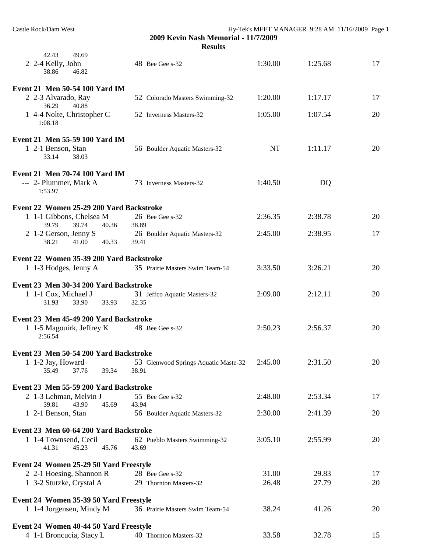**2009 Kevin Nash Memorial - 11/7/2009**

**Results**

| 42.43<br>49.69<br>2 2-4 Kelly, John<br>38.86<br>46.82                                       | 48 Bee Gee s-32                                                         | 1:30.00   | 1:25.68 | 17 |
|---------------------------------------------------------------------------------------------|-------------------------------------------------------------------------|-----------|---------|----|
| Event 21 Men 50-54 100 Yard IM                                                              |                                                                         |           |         |    |
| 2 2-3 Alvarado, Ray<br>36.29<br>40.88                                                       | 52 Colorado Masters Swimming-32                                         | 1:20.00   | 1:17.17 | 17 |
| 1 4-4 Nolte, Christopher C<br>1:08.18                                                       | 52 Inverness Masters-32                                                 | 1:05.00   | 1:07.54 | 20 |
| Event 21 Men 55-59 100 Yard IM                                                              |                                                                         |           |         |    |
| 1 2-1 Benson, Stan<br>33.14<br>38.03                                                        | 56 Boulder Aquatic Masters-32                                           | <b>NT</b> | 1:11.17 | 20 |
| Event 21 Men 70-74 100 Yard IM                                                              |                                                                         |           |         |    |
| --- 2- Plummer, Mark A<br>1:53.97                                                           | 73 Inverness Masters-32                                                 | 1:40.50   | DQ      |    |
| Event 22 Women 25-29 200 Yard Backstroke                                                    |                                                                         |           |         |    |
| 1 1-1 Gibbons, Chelsea M<br>39.79<br>39.74<br>40.36                                         | 26 Bee Gee s-32<br>38.89                                                | 2:36.35   | 2:38.78 | 20 |
| 2 1-2 Gerson, Jenny S<br>38.21<br>41.00<br>40.33                                            | 26 Boulder Aquatic Masters-32<br>39.41                                  | 2:45.00   | 2:38.95 | 17 |
|                                                                                             |                                                                         |           |         |    |
| Event 22 Women 35-39 200 Yard Backstroke<br>1 1-3 Hodges, Jenny A                           | 35 Prairie Masters Swim Team-54                                         | 3:33.50   | 3:26.21 | 20 |
| Event 23 Men 30-34 200 Yard Backstroke                                                      |                                                                         |           |         |    |
| 1 1-1 Cox, Michael J<br>31.93<br>33.90<br>33.93                                             | 31 Jeffco Aquatic Masters-32<br>32.35                                   | 2:09.00   | 2:12.11 | 20 |
| Event 23 Men 45-49 200 Yard Backstroke                                                      |                                                                         |           |         |    |
| 1 1-5 Magouirk, Jeffrey K<br>2:56.54                                                        | 48 Bee Gee s-32                                                         | 2:50.23   | 2:56.37 | 20 |
| Event 23 Men 50-54 200 Yard Backstroke                                                      |                                                                         |           |         |    |
| 37.76<br>35.49<br>39.34                                                                     | 1 1-2 Jay, Howard 53 Glenwood Springs Aquatic Maste-32 2:45.00<br>38.91 |           | 2:31.50 | 20 |
|                                                                                             |                                                                         |           |         |    |
| Event 23 Men 55-59 200 Yard Backstroke<br>2 1-3 Lehman, Melvin J<br>39.81<br>43.90<br>45.69 | 55 Bee Gee s-32<br>43.94                                                | 2:48.00   | 2:53.34 | 17 |
| 1 2-1 Benson, Stan                                                                          | 56 Boulder Aquatic Masters-32                                           | 2:30.00   | 2:41.39 | 20 |
| Event 23 Men 60-64 200 Yard Backstroke                                                      |                                                                         |           |         |    |
| 1 1-4 Townsend, Cecil<br>41.31<br>45.23<br>45.76                                            | 62 Pueblo Masters Swimming-32<br>43.69                                  | 3:05.10   | 2:55.99 | 20 |
| Event 24 Women 25-29 50 Yard Freestyle                                                      |                                                                         |           |         |    |
| 2 2-1 Hoesing, Shannon R                                                                    | 28 Bee Gee s-32                                                         | 31.00     | 29.83   | 17 |
| 1 3-2 Stutzke, Crystal A                                                                    | 29 Thornton Masters-32                                                  | 26.48     | 27.79   | 20 |
| Event 24 Women 35-39 50 Yard Freestyle                                                      |                                                                         |           |         |    |
| 1 1-4 Jorgensen, Mindy M                                                                    | 36 Prairie Masters Swim Team-54                                         | 38.24     | 41.26   | 20 |
| Event 24 Women 40-44 50 Yard Freestyle                                                      |                                                                         |           |         |    |
| 4 1-1 Broncucia, Stacy L                                                                    | 40 Thornton Masters-32                                                  | 33.58     | 32.78   | 15 |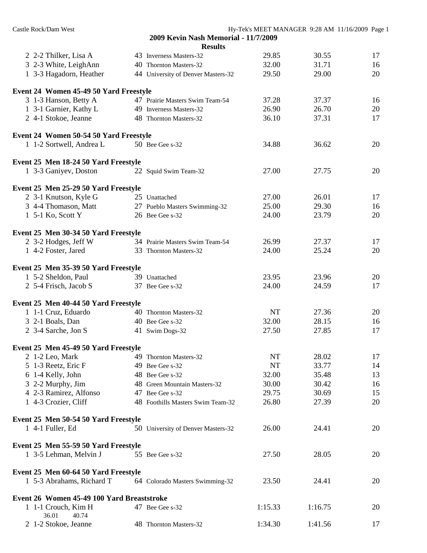| Castle Rock/Dam West                       |                                      | Hy-Tek's MEET MANAGER 9:28 AM 11/16/2009 Page 1 |         |    |
|--------------------------------------------|--------------------------------------|-------------------------------------------------|---------|----|
|                                            | 2009 Kevin Nash Memorial - 11/7/2009 |                                                 |         |    |
|                                            | <b>Results</b>                       |                                                 |         |    |
| 2 2-2 Thilker, Lisa A                      | 43 Inverness Masters-32              | 29.85                                           | 30.55   | 17 |
| 3 2-3 White, LeighAnn                      | 40 Thornton Masters-32               | 32.00                                           | 31.71   | 16 |
| 1 3-3 Hagadorn, Heather                    | 44 University of Denver Masters-32   | 29.50                                           | 29.00   | 20 |
| Event 24 Women 45-49 50 Yard Freestyle     |                                      |                                                 |         |    |
| 3 1-3 Hanson, Betty A                      | 47 Prairie Masters Swim Team-54      | 37.28                                           | 37.37   | 16 |
| 1 3-1 Garnier, Kathy L                     | 49 Inverness Masters-32              | 26.90                                           | 26.70   | 20 |
| 2 4-1 Stokoe, Jeanne                       | 48 Thornton Masters-32               | 36.10                                           | 37.31   | 17 |
| Event 24 Women 50-54 50 Yard Freestyle     |                                      |                                                 |         |    |
| 1 1-2 Sortwell, Andrea L                   | 50 Bee Gee s-32                      | 34.88                                           | 36.62   | 20 |
| Event 25 Men 18-24 50 Yard Freestyle       |                                      |                                                 |         |    |
| 1 3-3 Ganiyev, Doston                      | 22 Squid Swim Team-32                | 27.00                                           | 27.75   | 20 |
| Event 25 Men 25-29 50 Yard Freestyle       |                                      |                                                 |         |    |
| 2 3-1 Knutson, Kyle G                      | 25 Unattached                        | 27.00                                           | 26.01   | 17 |
| 3 4-4 Thomason, Matt                       | 27 Pueblo Masters Swimming-32        | 25.00                                           | 29.30   | 16 |
| 1 5-1 Ko, Scott Y                          | 26 Bee Gee s-32                      | 24.00                                           | 23.79   | 20 |
|                                            |                                      |                                                 |         |    |
| Event 25 Men 30-34 50 Yard Freestyle       |                                      |                                                 |         |    |
| 2 3-2 Hodges, Jeff W                       | 34 Prairie Masters Swim Team-54      | 26.99                                           | 27.37   | 17 |
| 1 4-2 Foster, Jared                        | 33 Thornton Masters-32               | 24.00                                           | 25.24   | 20 |
| Event 25 Men 35-39 50 Yard Freestyle       |                                      |                                                 |         |    |
| 1 5-2 Sheldon, Paul                        | 39 Unattached                        | 23.95                                           | 23.96   | 20 |
| 2 5-4 Frisch, Jacob S                      | 37 Bee Gee s-32                      | 24.00                                           | 24.59   | 17 |
| Event 25 Men 40-44 50 Yard Freestyle       |                                      |                                                 |         |    |
| 1 1-1 Cruz, Eduardo                        | 40 Thornton Masters-32               | NT                                              | 27.36   | 20 |
| 3 2-1 Boals, Dan                           | 40 Bee Gee s-32                      | 32.00                                           | 28.15   | 16 |
| 2 3-4 Sarche, Jon S                        | 41 Swim Dogs-32                      | 27.50                                           | 27.85   | 17 |
| Event 25 Men 45-49 50 Yard Freestyle       |                                      |                                                 |         |    |
| 2 1-2 Leo, Mark                            | 49 Thornton Masters-32               | NT                                              | 28.02   | 17 |
| 5 1-3 Reetz, Eric F                        | 49 Bee Gee s-32                      | <b>NT</b>                                       | 33.77   | 14 |
| 6 1-4 Kelly, John                          | 48 Bee Gee s-32                      | 32.00                                           | 35.48   | 13 |
| 3 2-2 Murphy, Jim                          | 48 Green Mountain Masters-32         | 30.00                                           | 30.42   | 16 |
| 4 2-3 Ramirez, Alfonso                     | 47 Bee Gee s-32                      | 29.75                                           | 30.69   | 15 |
| 1 4-3 Crozier, Cliff                       | 48 Foothills Masters Swim Team-32    | 26.80                                           | 27.39   | 20 |
| Event 25 Men 50-54 50 Yard Freestyle       |                                      |                                                 |         |    |
| 1 4-1 Fuller, Ed                           | 50 University of Denver Masters-32   | 26.00                                           | 24.41   | 20 |
| Event 25 Men 55-59 50 Yard Freestyle       |                                      |                                                 |         |    |
| 1 3-5 Lehman, Melvin J                     | 55 Bee Gee s-32                      | 27.50                                           | 28.05   | 20 |
| Event 25 Men 60-64 50 Yard Freestyle       |                                      |                                                 |         |    |
| 1 5-3 Abrahams, Richard T                  | 64 Colorado Masters Swimming-32      | 23.50                                           | 24.41   | 20 |
| Event 26 Women 45-49 100 Yard Breaststroke |                                      |                                                 |         |    |
| 1 1-1 Crouch, Kim H                        | 47 Bee Gee s-32                      | 1:15.33                                         | 1:16.75 | 20 |
| 36.01<br>40.74<br>2 1-2 Stokoe, Jeanne     | 48 Thornton Masters-32               | 1:34.30                                         | 1:41.56 | 17 |
|                                            |                                      |                                                 |         |    |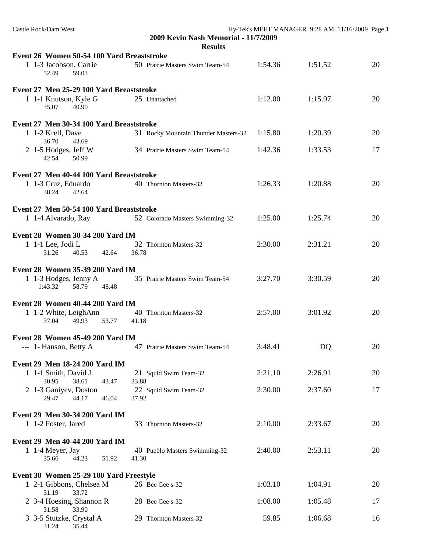| Castle Rock/Dam West                                         | 2009 Kevin Nash Memorial - 11/7/2009   |         | Hy-Tek's MEET MANAGER 9:28 AM 11/16/2009 Page 1 |    |
|--------------------------------------------------------------|----------------------------------------|---------|-------------------------------------------------|----|
|                                                              | <b>Results</b>                         |         |                                                 |    |
| Event 26 Women 50-54 100 Yard Breaststroke                   |                                        |         |                                                 |    |
| 1 1-3 Jacobson, Carrie<br>52.49<br>59.03                     | 50 Prairie Masters Swim Team-54        | 1:54.36 | 1:51.52                                         | 20 |
| Event 27 Men 25-29 100 Yard Breaststroke                     |                                        |         |                                                 |    |
| 1 1-1 Knutson, Kyle G<br>40.90<br>35.07                      | 25 Unattached                          | 1:12.00 | 1:15.97                                         | 20 |
| Event 27 Men 30-34 100 Yard Breaststroke                     |                                        |         |                                                 |    |
| 1 1-2 Krell, Dave<br>36.70<br>43.69                          | 31 Rocky Mountain Thunder Masters-32   | 1:15.80 | 1:20.39                                         | 20 |
| 2 1-5 Hodges, Jeff W<br>42.54<br>50.99                       | 34 Prairie Masters Swim Team-54        | 1:42.36 | 1:33.53                                         | 17 |
| Event 27 Men 40-44 100 Yard Breaststroke                     |                                        |         |                                                 |    |
| 1 1-3 Cruz, Eduardo<br>38.24<br>42.64                        | 40 Thornton Masters-32                 | 1:26.33 | 1:20.88                                         | 20 |
| Event 27 Men 50-54 100 Yard Breaststroke                     |                                        |         |                                                 |    |
| 1 1-4 Alvarado, Ray                                          | 52 Colorado Masters Swimming-32        | 1:25.00 | 1:25.74                                         | 20 |
| Event 28 Women 30-34 200 Yard IM                             |                                        |         |                                                 |    |
| 1 1-1 Lee, Jodi L<br>31.26<br>40.53<br>42.64                 | 32 Thornton Masters-32<br>36.78        | 2:30.00 | 2:31.21                                         | 20 |
|                                                              |                                        |         |                                                 |    |
| Event 28 Women 35-39 200 Yard IM<br>1 1-3 Hodges, Jenny A    | 35 Prairie Masters Swim Team-54        | 3:27.70 | 3:30.59                                         | 20 |
| 1:43.32<br>58.79<br>48.48                                    |                                        |         |                                                 |    |
| Event 28 Women 40-44 200 Yard IM                             |                                        |         |                                                 |    |
| 1 1-2 White, LeighAnn<br>37.04<br>49.93<br>53.77             | 40 Thornton Masters-32<br>41.18        | 2:57.00 | 3:01.92                                         | 20 |
| <b>Event 28 Women 45-49 200 Yard IM</b>                      |                                        |         |                                                 |    |
| --- 1- Hanson, Betty A                                       | 47 Prairie Masters Swim Team-54        | 3:48.41 | D <sub>Q</sub>                                  | 20 |
| Event 29 Men 18-24 200 Yard IM                               |                                        |         |                                                 |    |
| 1 1-1 Smith, David J<br>30.95<br>38.61<br>43.47              | 21 Squid Swim Team-32<br>33.88         | 2:21.10 | 2:26.91                                         | 20 |
| 2 1-3 Ganiyev, Doston<br>29.47<br>44.17<br>46.04             | 22 Squid Swim Team-32<br>37.92         | 2:30.00 | 2:37.60                                         | 17 |
|                                                              |                                        |         |                                                 |    |
| Event 29 Men 30-34 200 Yard IM<br>1 1-2 Foster, Jared        | 33 Thornton Masters-32                 | 2:10.00 | 2:33.67                                         | 20 |
|                                                              |                                        |         |                                                 |    |
| Event 29 Men 40-44 200 Yard IM                               |                                        |         |                                                 |    |
| 1 1-4 Meyer, Jay<br>35.66<br>44.23<br>51.92                  | 40 Pueblo Masters Swimming-32<br>41.30 | 2:40.00 | 2:53.11                                         | 20 |
| Event 30 Women 25-29 100 Yard Freestyle                      |                                        |         |                                                 |    |
| 1 2-1 Gibbons, Chelsea M<br>31.19<br>33.72                   | 26 Bee Gee s-32                        | 1:03.10 | 1:04.91                                         | 20 |
| 2 3-4 Hoesing, Shannon R                                     | 28 Bee Gee s-32                        | 1:08.00 | 1:05.48                                         | 17 |
| 31.58<br>33.90<br>3 3-5 Stutzke, Crystal A<br>35.44<br>31.24 | 29 Thornton Masters-32                 | 59.85   | 1:06.68                                         | 16 |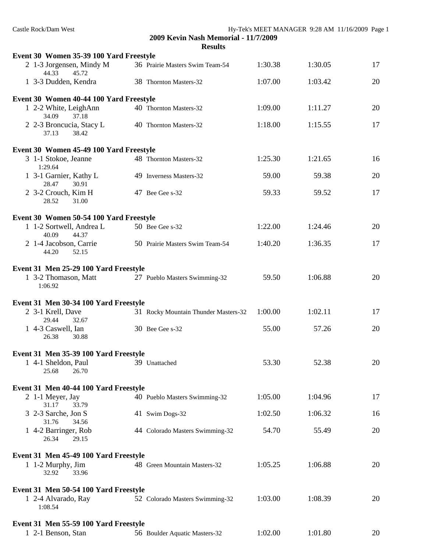| Castle Rock/Dam West                                                    | 2009 Kevin Nash Memorial - 11/7/2009 | Hy-Tek's MEET MANAGER 9:28 AM 11/16/2009 Page 1 |         |    |
|-------------------------------------------------------------------------|--------------------------------------|-------------------------------------------------|---------|----|
|                                                                         | <b>Results</b>                       |                                                 |         |    |
| Event 30 Women 35-39 100 Yard Freestyle                                 |                                      |                                                 |         |    |
| 2 1-3 Jorgensen, Mindy M<br>44.33<br>45.72                              | 36 Prairie Masters Swim Team-54      | 1:30.38                                         | 1:30.05 | 17 |
| 1 3-3 Dudden, Kendra                                                    | 38 Thornton Masters-32               | 1:07.00                                         | 1:03.42 | 20 |
| Event 30 Women 40-44 100 Yard Freestyle                                 |                                      |                                                 |         |    |
| 1 2-2 White, LeighAnn<br>34.09<br>37.18                                 | 40 Thornton Masters-32               | 1:09.00                                         | 1:11.27 | 20 |
| 2 2-3 Broncucia, Stacy L<br>37.13<br>38.42                              | 40 Thornton Masters-32               | 1:18.00                                         | 1:15.55 | 17 |
| Event 30 Women 45-49 100 Yard Freestyle                                 |                                      |                                                 |         |    |
| 3 1-1 Stokoe, Jeanne<br>1:29.64                                         | 48 Thornton Masters-32               | 1:25.30                                         | 1:21.65 | 16 |
| 1 3-1 Garnier, Kathy L<br>28.47<br>30.91                                | 49 Inverness Masters-32              | 59.00                                           | 59.38   | 20 |
| 2 3-2 Crouch, Kim H<br>28.52<br>31.00                                   | 47 Bee Gee s-32                      | 59.33                                           | 59.52   | 17 |
| Event 30 Women 50-54 100 Yard Freestyle                                 |                                      |                                                 |         |    |
| 1 1-2 Sortwell, Andrea L<br>40.09<br>44.37                              | 50 Bee Gee s-32                      | 1:22.00                                         | 1:24.46 | 20 |
| 2 1-4 Jacobson, Carrie<br>52.15<br>44.20                                | 50 Prairie Masters Swim Team-54      | 1:40.20                                         | 1:36.35 | 17 |
| Event 31 Men 25-29 100 Yard Freestyle                                   |                                      |                                                 |         |    |
| 1 3-2 Thomason, Matt<br>1:06.92                                         | 27 Pueblo Masters Swimming-32        | 59.50                                           | 1:06.88 | 20 |
| Event 31 Men 30-34 100 Yard Freestyle                                   |                                      |                                                 |         |    |
| 2 3-1 Krell, Dave<br>29.44<br>32.67                                     | 31 Rocky Mountain Thunder Masters-32 | 1:00.00                                         | 1:02.11 | 17 |
| 1 4-3 Caswell, Ian<br>26.38<br>30.88                                    | 30 Bee Gee s-32                      | 55.00                                           | 57.26   | 20 |
| Event 31 Men 35-39 100 Yard Freestyle                                   |                                      |                                                 |         |    |
| 1 4-1 Sheldon, Paul<br>25.68<br>26.70                                   | 39 Unattached                        | 53.30                                           | 52.38   | 20 |
|                                                                         |                                      |                                                 |         |    |
| Event 31 Men 40-44 100 Yard Freestyle                                   |                                      |                                                 |         |    |
| 2 1-1 Meyer, Jay<br>31.17<br>33.79                                      | 40 Pueblo Masters Swimming-32        | 1:05.00                                         | 1:04.96 | 17 |
| 3 2-3 Sarche, Jon S<br>31.76<br>34.56                                   | 41 Swim Dogs-32                      | 1:02.50                                         | 1:06.32 | 16 |
| 1 4-2 Barringer, Rob<br>26.34<br>29.15                                  | 44 Colorado Masters Swimming-32      | 54.70                                           | 55.49   | 20 |
| Event 31 Men 45-49 100 Yard Freestyle                                   |                                      |                                                 |         |    |
| 1 1-2 Murphy, Jim<br>32.92<br>33.96                                     | 48 Green Mountain Masters-32         | 1:05.25                                         | 1:06.88 | 20 |
|                                                                         |                                      |                                                 |         |    |
| Event 31 Men 50-54 100 Yard Freestyle<br>1 2-4 Alvarado, Ray<br>1:08.54 | 52 Colorado Masters Swimming-32      | 1:03.00                                         | 1:08.39 | 20 |
| Event 31 Men 55-59 100 Yard Freestyle                                   |                                      |                                                 |         |    |
| 1 2-1 Benson, Stan                                                      | 56 Boulder Aquatic Masters-32        | 1:02.00                                         | 1:01.80 | 20 |